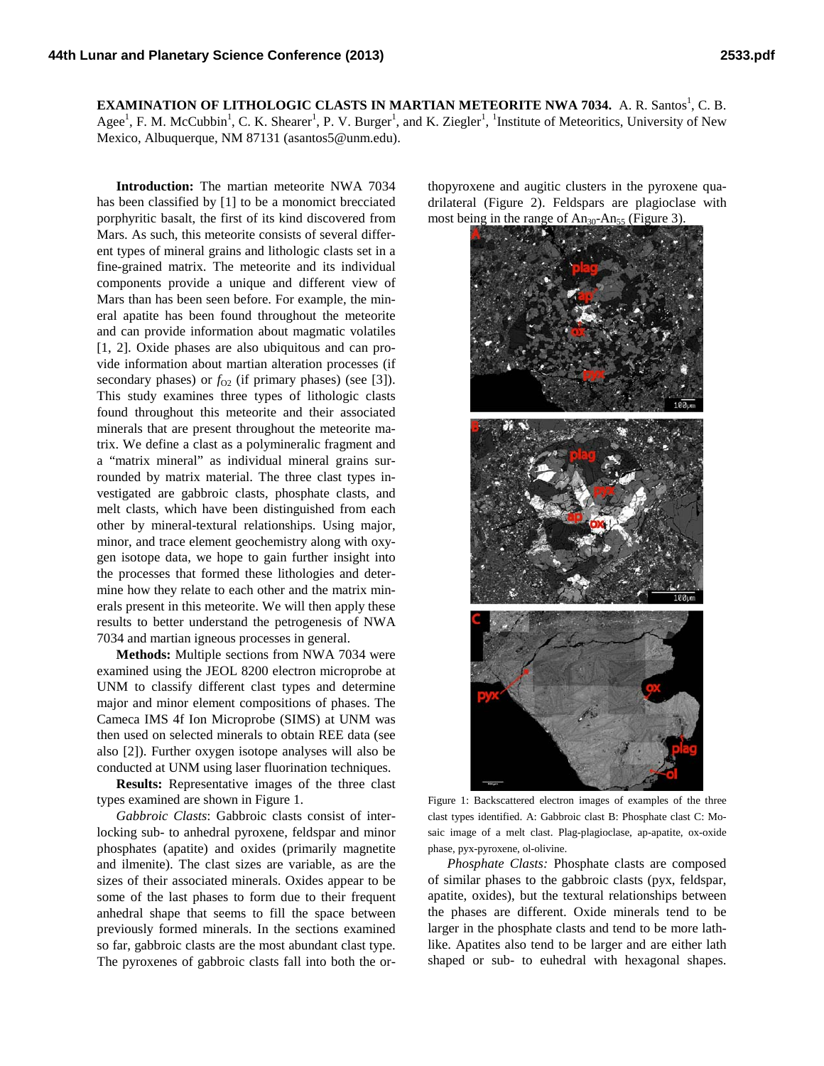**EXAMINATION OF LITHOLOGIC CLASTS IN MARTIAN METEORITE NWA 7034.** A. R. Santos<sup>1</sup>, C. B. Agee<sup>1</sup>, F. M. McCubbin<sup>1</sup>, C. K. Shearer<sup>1</sup>, P. V. Burger<sup>1</sup>, and K. Ziegler<sup>1</sup>, <sup>1</sup>Institute of Meteoritics, University of New Mexico, Albuquerque, NM 87131 (asantos5@unm.edu).

**Introduction:** The martian meteorite NWA 7034 has been classified by [1] to be a monomict brecciated porphyritic basalt, the first of its kind discovered from Mars. As such, this meteorite consists of several different types of mineral grains and lithologic clasts set in a fine-grained matrix. The meteorite and its individual components provide a unique and different view of Mars than has been seen before. For example, the mineral apatite has been found throughout the meteorite and can provide information about magmatic volatiles [1, 2]. Oxide phases are also ubiquitous and can provide information about martian alteration processes (if secondary phases) or  $f_{02}$  (if primary phases) (see [3]). This study examines three types of lithologic clasts found throughout this meteorite and their associated minerals that are present throughout the meteorite matrix. We define a clast as a polymineralic fragment and a "matrix mineral" as individual mineral grains surrounded by matrix material. The three clast types investigated are gabbroic clasts, phosphate clasts, and melt clasts, which have been distinguished from each other by mineral-textural relationships. Using major, minor, and trace element geochemistry along with oxygen isotope data, we hope to gain further insight into the processes that formed these lithologies and determine how they relate to each other and the matrix minerals present in this meteorite. We will then apply these results to better understand the petrogenesis of NWA 7034 and martian igneous processes in general.

**Methods:** Multiple sections from NWA 7034 were examined using the JEOL 8200 electron microprobe at UNM to classify different clast types and determine major and minor element compositions of phases. The Cameca IMS 4f Ion Microprobe (SIMS) at UNM was then used on selected minerals to obtain REE data (see also [2]). Further oxygen isotope analyses will also be conducted at UNM using laser fluorination techniques.

**Results:** Representative images of the three clast types examined are shown in Figure 1.

*Gabbroic Clasts*: Gabbroic clasts consist of interlocking sub- to anhedral pyroxene, feldspar and minor phosphates (apatite) and oxides (primarily magnetite and ilmenite). The clast sizes are variable, as are the sizes of their associated minerals. Oxides appear to be some of the last phases to form due to their frequent anhedral shape that seems to fill the space between previously formed minerals. In the sections examined so far, gabbroic clasts are the most abundant clast type. The pyroxenes of gabbroic clasts fall into both the orthopyroxene and augitic clusters in the pyroxene quadrilateral (Figure 2). Feldspars are plagioclase with most being in the range of  $An_{30}$ -An<sub>55</sub> (Figure 3).



Figure 1: Backscattered electron images of examples of the three clast types identified. A: Gabbroic clast B: Phosphate clast C: Mosaic image of a melt clast. Plag-plagioclase, ap-apatite, ox-oxide phase, pyx-pyroxene, ol-olivine.

*Phosphate Clasts:* Phosphate clasts are composed of similar phases to the gabbroic clasts (pyx, feldspar, apatite, oxides), but the textural relationships between the phases are different. Oxide minerals tend to be larger in the phosphate clasts and tend to be more lathlike. Apatites also tend to be larger and are either lath shaped or sub- to euhedral with hexagonal shapes.